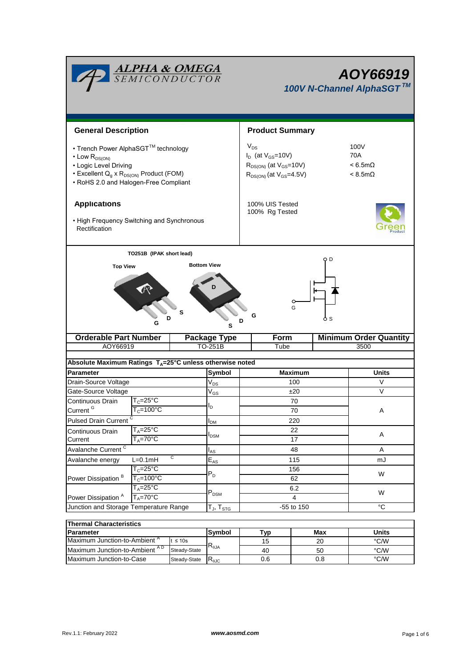|                                                                                                                                                                                        |                                             | <u>ALPHA &amp; OMEGA</u><br>SEMICONDUCTOR | AOY66919<br>100V N-Channel AlphaSGT™                                                                        |                 |                                                          |  |  |  |
|----------------------------------------------------------------------------------------------------------------------------------------------------------------------------------------|---------------------------------------------|-------------------------------------------|-------------------------------------------------------------------------------------------------------------|-----------------|----------------------------------------------------------|--|--|--|
| <b>General Description</b>                                                                                                                                                             |                                             |                                           | <b>Product Summary</b>                                                                                      |                 |                                                          |  |  |  |
| • Trench Power AlphaSGT™ technology<br>$\cdot$ Low $R_{DS(ON)}$<br>• Logic Level Driving<br>• Excellent $Q_g \times R_{DS(ON)}$ Product (FOM)<br>• RoHS 2.0 and Halogen-Free Compliant |                                             |                                           | $V_{DS}$<br>$I_D$ (at $V_{GS}$ =10V)<br>$R_{DS(ON)}$ (at $V_{GS}$ =10V)<br>$R_{DS(ON)}$ (at $V_{GS}$ =4.5V) |                 | 100V<br>70A<br>$< 6.5 m\Omega$<br>$< 8.5 \text{m}\Omega$ |  |  |  |
| <b>Applications</b><br>• High Frequency Switching and Synchronous<br>Rectification                                                                                                     |                                             |                                           | 100% UIS Tested<br>100% Rg Tested                                                                           |                 |                                                          |  |  |  |
| <b>Top View</b>                                                                                                                                                                        | TO251B (IPAK short lead)<br>D<br>G          | <b>Bottom View</b><br>s<br>s              | G                                                                                                           | O D<br>G<br>ბ s |                                                          |  |  |  |
| <b>Orderable Part Number</b>                                                                                                                                                           |                                             | <b>Package Type</b>                       | Form                                                                                                        |                 | <b>Minimum Order Quantity</b>                            |  |  |  |
| AOY66919                                                                                                                                                                               |                                             | TO-251B                                   | Tube                                                                                                        |                 | 3500                                                     |  |  |  |
| Absolute Maximum Ratings $T_A = 25^\circ \text{C}$ unless otherwise noted                                                                                                              |                                             |                                           |                                                                                                             |                 |                                                          |  |  |  |
| Parameter                                                                                                                                                                              |                                             |                                           | Symbol                                                                                                      | Maximum         | Units                                                    |  |  |  |
| Drain-Source Voltage                                                                                                                                                                   |                                             | $\mathsf{V}_{\mathsf{DS}}$                |                                                                                                             | 100             | V                                                        |  |  |  |
| Gate-Source Voltage                                                                                                                                                                    |                                             | $\mathsf{V}_{\mathsf{GS}}$                |                                                                                                             | ±20             | V                                                        |  |  |  |
| Continuous Drain                                                                                                                                                                       | $T_c = 25$ °C                               |                                           |                                                                                                             | 70              |                                                          |  |  |  |
| Current <sup>G</sup>                                                                                                                                                                   | $T_c = 100$ °C                              |                                           |                                                                                                             | 70              | A                                                        |  |  |  |
| Pulsed Drain Current <sup>C</sup>                                                                                                                                                      | $I_{DM}$                                    |                                           | 220                                                                                                         |                 |                                                          |  |  |  |
| Continuous Drain                                                                                                                                                                       | $T_A = 25^\circ C$                          | <b>I</b> <sub>DSM</sub>                   |                                                                                                             | 22              | Α                                                        |  |  |  |
|                                                                                                                                                                                        | $T_A = 70^{\circ}$ C<br>Current             |                                           |                                                                                                             | 17              |                                                          |  |  |  |
| Avalanche Current <sup>C</sup>                                                                                                                                                         | $I_{AS}$<br>C                               |                                           | 48                                                                                                          | A               |                                                          |  |  |  |
| Avalanche energy                                                                                                                                                                       | $L=0.1mH$                                   | $E_{AS}$                                  |                                                                                                             | 115             | mJ                                                       |  |  |  |
| Power Dissipation <sup>B</sup>                                                                                                                                                         | $T_c = 25^\circ C$<br>$T_c = 100^{\circ}$ C | $P_D$                                     |                                                                                                             | 156             | W                                                        |  |  |  |
|                                                                                                                                                                                        | $T_A = 25^{\circ}C$                         |                                           |                                                                                                             | 62              |                                                          |  |  |  |
| Power Dissipation <sup>A</sup>                                                                                                                                                         | $T_A = 70$ °C                               | $\mathsf{P}_\mathsf{DSM}$                 |                                                                                                             | 6.2<br>4        | W                                                        |  |  |  |
| Junction and Storage Temperature Range                                                                                                                                                 |                                             | T $_{\sf J}$ , T $_{\sf STG}$             |                                                                                                             | -55 to 150      | $^{\circ}C$                                              |  |  |  |
|                                                                                                                                                                                        |                                             |                                           |                                                                                                             |                 |                                                          |  |  |  |
| <b>Thermal Characteristics</b>                                                                                                                                                         |                                             |                                           |                                                                                                             |                 |                                                          |  |  |  |
| Parameter                                                                                                                                                                              |                                             | <b>Symbol</b>                             | <b>Typ</b>                                                                                                  | Max             | <b>Units</b>                                             |  |  |  |

Maximum Junction-to-Ambient<sup>A</sup>

Maximum Junction-to-Case Steady-State R<sub>6JC</sub> 0.6 0.8 0.8 °C/W Maximum Junction-to-Ambient  $\frac{1}{2}$  S Tus  $R_{\theta,JA}$   $\frac{15}{40}$   $\frac{20}{50}$   $\frac{20}{\text{C/W}}$ 

 $R_{\theta JA}$  15 20 °C/W

20

50 0.8

15 40

0.6

t ≤ 10s Steady-State Steady-State  $R_{\theta$ JC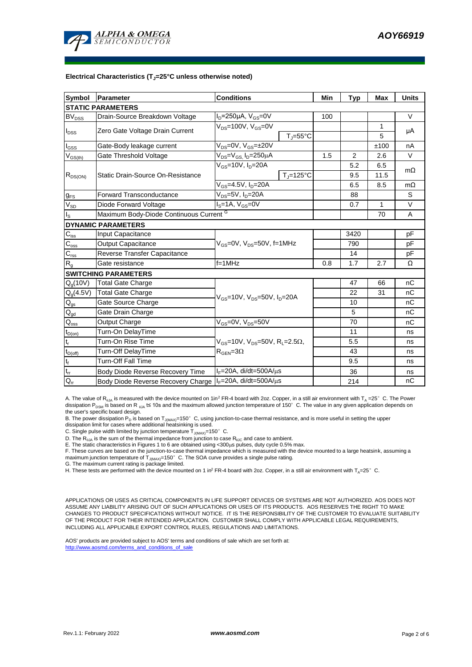

## **Electrical Characteristics (TJ=25°C unless otherwise noted)**

| <b>Symbol</b>                          | Parameter                                                   | <b>Conditions</b>                                                                       |                                | Min  | <b>Typ</b>     | <b>Max</b>   | <b>Units</b> |  |  |  |  |  |
|----------------------------------------|-------------------------------------------------------------|-----------------------------------------------------------------------------------------|--------------------------------|------|----------------|--------------|--------------|--|--|--|--|--|
| <b>STATIC PARAMETERS</b>               |                                                             |                                                                                         |                                |      |                |              |              |  |  |  |  |  |
| $BV_{\underline{DSS}}$                 | Drain-Source Breakdown Voltage                              | $I_D = 250 \mu A$ , $V_{GS} = 0V$                                                       |                                | 100  |                |              | $\vee$       |  |  |  |  |  |
| $I_{DSS}$                              | Zero Gate Voltage Drain Current                             | V <sub>DS</sub> =100V, V <sub>GS</sub> =0V                                              |                                |      |                | 1            |              |  |  |  |  |  |
|                                        |                                                             |                                                                                         | $T_i = 55^{\circ}C$            |      |                | 5            | μA           |  |  |  |  |  |
| $\mathsf{I}_{\mathsf{GSS}}$            | Gate-Body leakage current                                   | $\overline{V_{DS}}$ =0V, V <sub>GS</sub> =±20V                                          |                                |      |                | ±100         | nA           |  |  |  |  |  |
| $\mathsf{V}_{\mathsf{GS(th)}}$         | Gate Threshold Voltage                                      | $V_{DS} = V_{GS}$ , $I_D = 250 \mu A$                                                   |                                | 1.5  | $\overline{2}$ | 2.6          | $\vee$       |  |  |  |  |  |
| $R_{DS(ON)}$                           | Static Drain-Source On-Resistance                           | $V_{GS}$ =10V, $I_{D}$ =20A                                                             |                                |      | 5.2            | 6.5          | $m\Omega$    |  |  |  |  |  |
|                                        |                                                             |                                                                                         | $T_{\parallel} = 125^{\circ}C$ |      | 9.5            | 11.5         |              |  |  |  |  |  |
|                                        |                                                             | V <sub>GS</sub> =4.5V, I <sub>D</sub> =20A                                              |                                |      | 6.5            | 8.5          | $m\Omega$    |  |  |  |  |  |
| $g_{FS}$                               | $V_{DS}$ =5V, $I_D$ =20A<br><b>Forward Transconductance</b> |                                                                                         |                                |      | 88             |              | S            |  |  |  |  |  |
| $V_{SD}$                               | Diode Forward Voltage                                       | $IS=1A, VGS=0V$                                                                         |                                |      | 0.7            | $\mathbf{1}$ | $\vee$       |  |  |  |  |  |
| Ιs                                     | Maximum Body-Diode Continuous Current G                     |                                                                                         |                                | 70   | Α              |              |              |  |  |  |  |  |
|                                        | <b>DYNAMIC PARAMETERS</b>                                   |                                                                                         |                                |      |                |              |              |  |  |  |  |  |
| $C_{\text{iss}}$                       | Input Capacitance                                           |                                                                                         |                                | 3420 |                | pF           |              |  |  |  |  |  |
| $C_{\rm oss}$                          | Output Capacitance                                          | V <sub>GS</sub> =0V, V <sub>DS</sub> =50V, f=1MHz                                       |                                |      | 790            |              | pF           |  |  |  |  |  |
| $C_{\rm rss}$                          | Reverse Transfer Capacitance                                |                                                                                         |                                | 14   |                | pF           |              |  |  |  |  |  |
| $R_{g}$                                | Gate resistance                                             | $f=1$ MHz                                                                               |                                | 0.8  | 1.7            | 2.7          | Ω            |  |  |  |  |  |
|                                        | <b>SWITCHING PARAMETERS</b>                                 |                                                                                         |                                |      |                |              |              |  |  |  |  |  |
| Q <sub>g</sub> (10V)                   | <b>Total Gate Charge</b>                                    |                                                                                         |                                |      | 47             | 66           | nC           |  |  |  |  |  |
| $Q_g(4.5V)$                            | Total Gate Charge                                           |                                                                                         |                                | 22   | 31             | nC           |              |  |  |  |  |  |
| $\mathsf{Q}_{\text{gs}}$               | Gate Source Charge                                          | $V_{GS}$ =10V, $V_{DS}$ =50V, $I_{D}$ =20A                                              |                                |      | 10             |              | nC           |  |  |  |  |  |
| $\mathsf{Q}_{\underline{\mathsf{gd}}}$ | Gate Drain Charge                                           |                                                                                         |                                | 5    |                | nC           |              |  |  |  |  |  |
| $Q_{\rm oss}$                          | Output Charge                                               | $V_{GS}$ =0V, $V_{DS}$ =50V                                                             |                                |      | 70             |              | nC           |  |  |  |  |  |
| $t_{D(on)}$                            | Turn-On DelayTime                                           | $V_{GS}$ =10V, $V_{DS}$ =50V, R <sub>L</sub> =2.5 $\Omega$ ,<br>$\rm R_{GEN} = 3\Omega$ |                                |      | 11             |              | ns           |  |  |  |  |  |
| $t_r$                                  | Turn-On Rise Time                                           |                                                                                         |                                |      | 5.5            |              | ns           |  |  |  |  |  |
| $t_{D(off)}$                           | Turn-Off DelayTime                                          |                                                                                         |                                |      | 43             |              | ns           |  |  |  |  |  |
| t <sub>f</sub>                         | <b>Turn-Off Fall Time</b>                                   |                                                                                         |                                | 9.5  |                | ns           |              |  |  |  |  |  |
| $\mathfrak{t}_{\text{rr}}$             | Body Diode Reverse Recovery Time                            | $I_F = 20A$ , di/dt=500A/ $\mu$ s                                                       |                                |      | 36             |              | ns           |  |  |  |  |  |
| $Q_{rr}$                               | Body Diode Reverse Recovery Charge                          | I <sub>F</sub> =20A, di/dt=500A/us                                                      |                                |      | 214            |              | nC           |  |  |  |  |  |

A. The value of R<sub>aJA</sub> is measured with the device mounted on 1in<sup>2</sup> FR-4 board with 2oz. Copper, in a still air environment with T<sub>A</sub> =25°C. The Power dissipation P<sub>DSM</sub> is based on R  $_{0.1A}$  t≤ 10s and the maximum allowed junction temperature of 150°C. The value in any given application depends on the user's specific board design.

B. The power dissipation P<sub>D</sub> is based on T<sub>J(MAX)</sub>=150°C, using junction-to-case thermal resistance, and is more useful in setting the upper<br>dissipation limit for cases where additional heatsinking is used.

C. Single pulse width limited by junction temperature  $T_{J(MAX)}$ =150°C.

D. The  $R_{qJA}$  is the sum of the thermal impedance from junction to case  $R_{qJC}$  and case to ambient.

E. The static characteristics in Figures 1 to 6 are obtained using <300 $\mu$ s pulses, duty cycle 0.5% max.

F. These curves are based on the junction-to-case thermal impedance which is measured with the device mounted to a large heatsink, assuming a<br>maximum junction temperature of T<sub>JMAX)</sub>=150°C. The SOA curve provides a single

G. The maximum current rating is package limited.

H. These tests are performed with the device mounted on 1 in<sup>2</sup> FR-4 board with 2oz. Copper, in a still air environment with T<sub>A</sub>=25°C.

APPLICATIONS OR USES AS CRITICAL COMPONENTS IN LIFE SUPPORT DEVICES OR SYSTEMS ARE NOT AUTHORIZED. AOS DOES NOT ASSUME ANY LIABILITY ARISING OUT OF SUCH APPLICATIONS OR USES OF ITS PRODUCTS. AOS RESERVES THE RIGHT TO MAKE CHANGES TO PRODUCT SPECIFICATIONS WITHOUT NOTICE. IT IS THE RESPONSIBILITY OF THE CUSTOMER TO EVALUATE SUITABILITY OF THE PRODUCT FOR THEIR INTENDED APPLICATION. CUSTOMER SHALL COMPLY WITH APPLICABLE LEGAL REQUIREMENTS, INCLUDING ALL APPLICABLE EXPORT CONTROL RULES, REGULATIONS AND LIMITATIONS.

AOS' products are provided subject to AOS' terms and conditions of sale which are set forth at: http://www.aosmd.com/terms\_and\_conditions\_of\_sale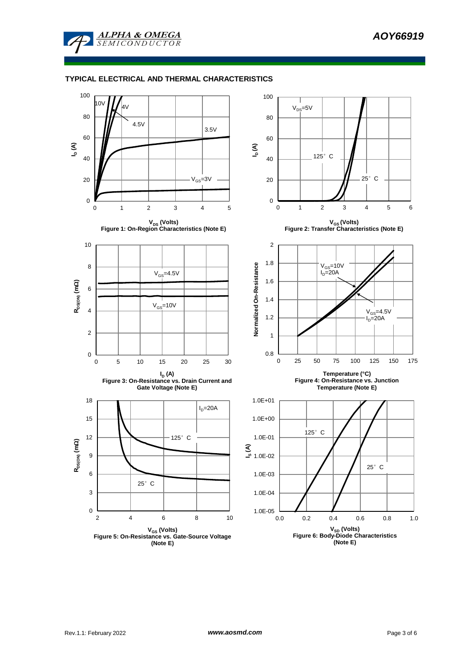

**ALPHA & OMEGA SEMICONDUCTOR** 

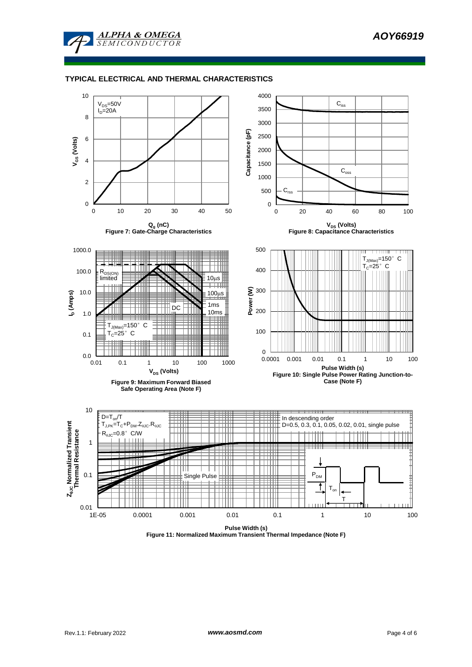

## **TYPICAL ELECTRICAL AND THERMAL CHARACTERISTICS**

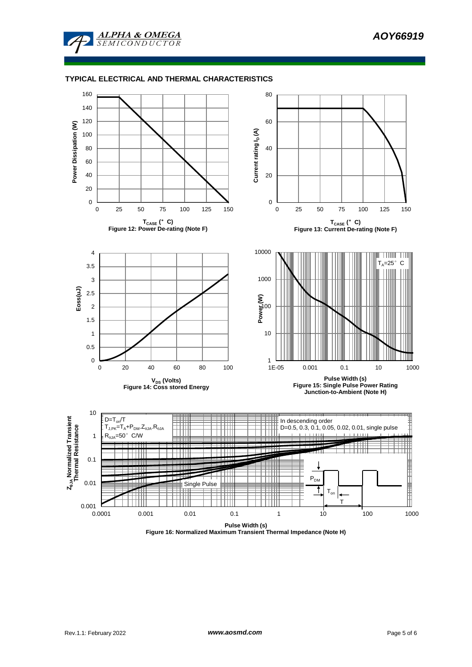

## **TYPICAL ELECTRICAL AND THERMAL CHARACTERISTICS**



**Figure 16: Normalized Maximum Transient Thermal Impedance (Note H)**